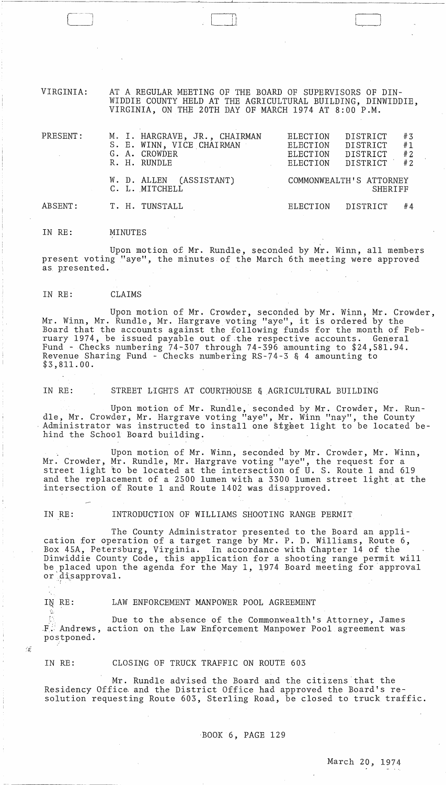VIRGINIA: AT A REGULAR MEETING OF THE BOARD OF SUPERVISORS OF DIN-WIDDIE COUNTY HELD AT THE AGRICULTURAL BUILDING, DINWIDDIE, VIRGINIA, ON THE 20TH DAY OF MARCH 1974 AT 8:00 P.M.

| PRESENT: |  | M. I. HARGRAVE, JR., CHAIRMAN<br>S. E. WINN, VICE CHAIRMAN<br>G. A. CROWDER<br>R. H. RUNDLE<br>$\label{eq:2.1} \frac{1}{\sqrt{2}}\left(\frac{1}{\sqrt{2}}\right)^{2} \left(\frac{1}{\sqrt{2}}\right)^{2} \left(\frac{1}{\sqrt{2}}\right)^{2} \left(\frac{1}{\sqrt{2}}\right)^{2} \left(\frac{1}{\sqrt{2}}\right)^{2} \left(\frac{1}{\sqrt{2}}\right)^{2} \left(\frac{1}{\sqrt{2}}\right)^{2} \left(\frac{1}{\sqrt{2}}\right)^{2} \left(\frac{1}{\sqrt{2}}\right)^{2} \left(\frac{1}{\sqrt{2}}\right)^{2} \left(\frac{1}{\sqrt{2}}\right)^{2} \left(\$ | <b>ELECTION</b><br>ELECTION<br><b>ELECTION</b><br>ELECTION | DISTRICT<br>DISTRICT<br>DISTRICT<br>DISTRICT | #3<br>#1<br>#2<br>#2 |
|----------|--|-------------------------------------------------------------------------------------------------------------------------------------------------------------------------------------------------------------------------------------------------------------------------------------------------------------------------------------------------------------------------------------------------------------------------------------------------------------------------------------------------------------------------------------------------------|------------------------------------------------------------|----------------------------------------------|----------------------|
|          |  | W. D. ALLEN (ASSISTANT)<br>C. L. MITCHELL                                                                                                                                                                                                                                                                                                                                                                                                                                                                                                             | COMMONWEALTH'S ATTORNEY<br>SHERIFF                         |                                              |                      |
| ABSENT:  |  | T. H. TUNSTALL                                                                                                                                                                                                                                                                                                                                                                                                                                                                                                                                        | <b>ELECTION</b>                                            | DISTRICT                                     | #4                   |

IN RE: MINUTES

Upon motion of Mr. Rundle, seconded by Mr. Winn, all members present voting "aye", the minutes of the March 6th meeting were approved as, pxesented.

# IN RE: CLAIMS

Upon motion of Mr. Crowder, seconded by Mr. Winn, Mr. Crowder, Mr. Winn, Mr. Rundle, Mr. Hargrave voting "aye", it is ordered by the Board that the accounts against the following funds for the month of Feb-<br>ruary 1974, be issued payable out of the respective accounts. General ruary 1974, be issued payable out of the respective accounts. Fund - Checks numbering 74-307 through 74-396 amounting to \$24,581.94. Revenue Sharing Fund - Checks numbering RS-74-3 & 4 amounting to \$3,811.00.

IN RE: STREET LIGHTS AT COURTHOUSE & AGRICULTURAL BUILDING

Upon motion of Mr. Rundle, seconded by Mr. Crowder, Mr. Rundle, Mr. Crowder, Mr. Hargrave voting "aye", Mr. Winn "nay", the County Administrator was instructed to install one stylet light to be located be-Administrator was instructed to install one styeet light to be located be-<br>hind the School Board building.

Upon motion of Mr. Winn, seconded by Mr. Crowder, Mr. Winn, Mr. Crowder, Mr. Rundle, Mr. Hargrave voting "aye", the request for a street light to be located at the intersection of U. S. Route 1 and 619 and the replacement of a 2500 lumen with a 3300 lumen street light at the intersection of Route 1 and Route 1402 was disapproved.

IN RE: INTRODUCTION OF WILLIAMS SHOOTING RANGE PERMIT

The County Administrator presented to the Board an application for operation of a target range by Mr. P. D. Williams, Route 6, Box 45A, Petersburg, Virginia. In accordance with Chapter 14 of the Dinwiddie County Code, this application for a shooting range permit will be placed upon the agenda for the May 1, 1974 Board meeting for approval or  $\det$  sapproval.

-18

"'

# IN RE: LAW ENFORCEMENT MANPOWER POOL AGREEMENT

Due to the absence of the Commonwealth's Attorney, James  $F$ . Andrews, action on the Law Enforcement Manpower Pool agreement was postponed.

IN RE: CLOSING OF TRUCK TRAFFIC ON ROUTE 603

Mr. Rundle advised the Board and the citizens 'that the Residency Office, and the District Office had approved the Board's resolution requesting Route 603, Sterling Road, be closed to truck traffic.

BOOK 6, PAGE 129